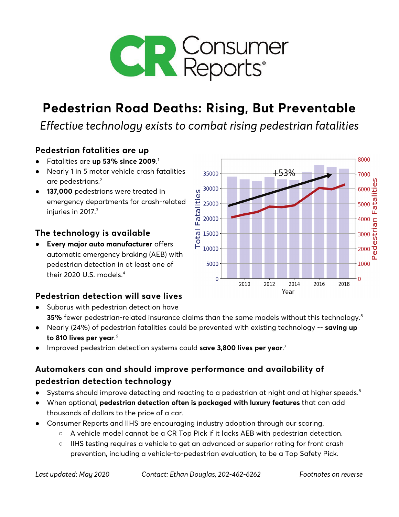

# **Pedestrian Road Deaths: Rising, But Preventable**

*Effective technology exists to combat rising pedestrian fatalities*

#### **Pedestrian fatalities are up**

- Fatalities are **up 53% since 2009**. 1
- Nearly 1 in 5 motor vehicle crash fatalities are pedestrians.<sup>2</sup>
- **137,000** pedestrians were treated in emergency departments for crash-related injuries in 2017.<sup>3</sup>

### **The technology is available**

● **Every major auto manufacturer** offers automatic emergency braking (AEB) with pedestrian detection in at least one of their 2020 U.S. models<sup>4</sup>

### **Pedestrian detection will save lives**



- Subarus with pedestrian detection have **35%** fewer pedestrian-related insurance claims than the same models without this technology.5
- Nearly (24%) of pedestrian fatalities could be prevented with existing technology -- **saving up to 810 lives per year**. 6
- Improved pedestrian detection systems could **save 3,800 lives per year**. 7

## **Automakers can and should improve performance and availability of pedestrian detection technology**

- $\bullet$  Systems should improve detecting and reacting to a pedestrian at night and at higher speeds. $^8$
- When optional, **pedestrian detection often is packaged with luxury features** that can add thousands of dollars to the price of a car.
- Consumer Reports and IIHS are encouraging industry adoption through our scoring.
	- A vehicle model cannot be a CR Top Pick if it lacks AEB with pedestrian detection.
	- IIHS testing requires a vehicle to get an advanced or superior rating for front crash prevention, including a vehicle-to-pedestrian evaluation, to be a Top Safety Pick.